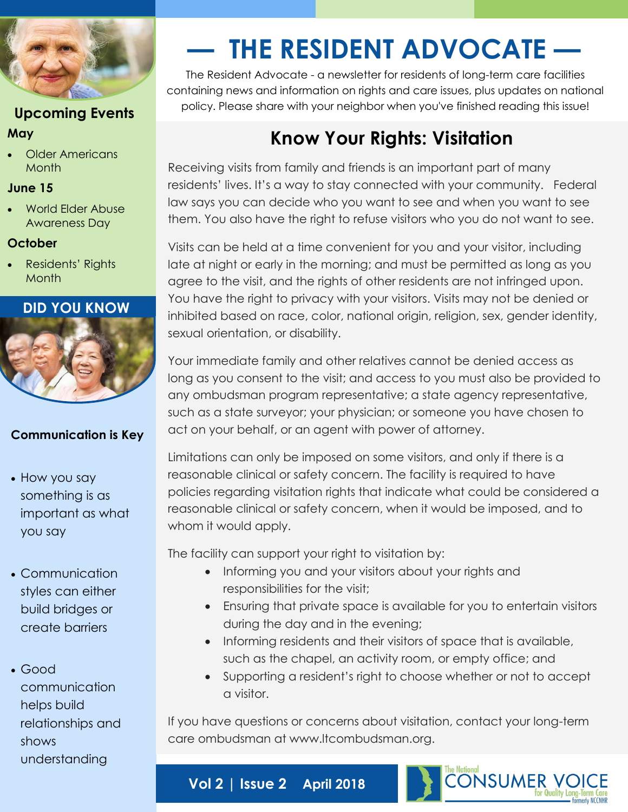

## **Upcoming Events May**

 Older Americans Month

#### **June 15**

 World Elder Abuse Awareness Day

### **October**

 Residents' Rights Month

### **DID YOU KNOW**



## **Communication is Key**

- How you say something is as important as what you say
- Communication styles can either build bridges or create barriers

 Good communication helps build relationships and shows understanding

# **— THE RESIDENT ADVOCATE —**

The Resident Advocate - a newsletter for residents of long-term care facilities containing news and information on rights and care issues, plus updates on national policy. Please share with your neighbor when you've finished reading this issue!

# **Know Your Rights: Visitation**

Receiving visits from family and friends is an important part of many residents' lives. It's a way to stay connected with your community. Federal law says you can decide who you want to see and when you want to see them. You also have the right to refuse visitors who you do not want to see.

Visits can be held at a time convenient for you and your visitor, including late at night or early in the morning; and must be permitted as long as you agree to the visit, and the rights of other residents are not infringed upon. You have the right to privacy with your visitors. Visits may not be denied or inhibited based on race, color, national origin, religion, sex, gender identity, sexual orientation, or disability.

Your immediate family and other relatives cannot be denied access as long as you consent to the visit; and access to you must also be provided to any ombudsman program representative; a state agency representative, such as a state surveyor; your physician; or someone you have chosen to act on your behalf, or an agent with power of attorney.

Limitations can only be imposed on some visitors, and only if there is a reasonable clinical or safety concern. The facility is required to have policies regarding visitation rights that indicate what could be considered a reasonable clinical or safety concern, when it would be imposed, and to whom it would apply.

The facility can support your right to visitation by:

**Vol 2 | Issue 2 April 2018**

- Informing you and your visitors about your rights and responsibilities for the visit;
- Ensuring that private space is available for you to entertain visitors during the day and in the evening;
- Informing residents and their visitors of space that is available, such as the chapel, an activity room, or empty office; and
- Supporting a resident's right to choose whether or not to accept a visitor.

If you have questions or concerns about visitation, contact your long-term care ombudsman at www.ltcombudsman.org.